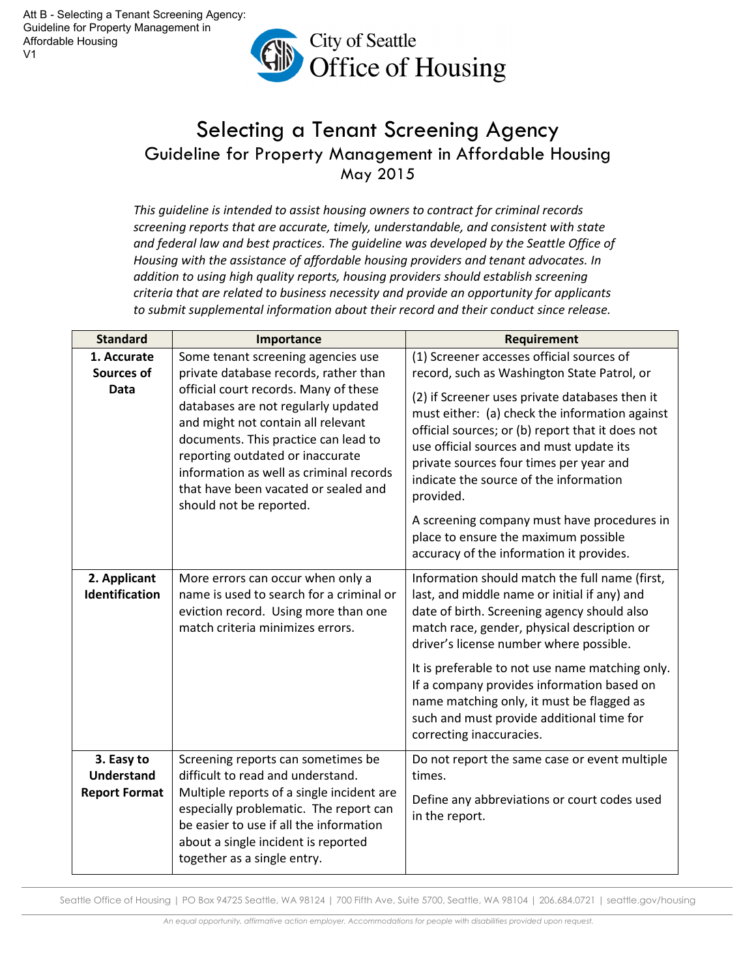

## Selecting a Tenant Screening Agency Guideline for Property Management in Affordable Housing May 2015

This guideline is intended to assist housing owners to contract for criminal records screening reports that are accurate, timely, understandable, and consistent with state and federal law and best practices. The guideline was developed by the Seattle Office of Housing with the assistance of affordable housing providers and tenant advocates. In addition to using high quality reports, housing providers should establish screening criteria that are related to business necessity and provide an opportunity for applicants to submit supplemental information about their record and their conduct since release.

| <b>Standard</b>                                         | Importance                                                                                                                                                                                                                                                                                                   | <b>Requirement</b>                                                                                                                                                                                                                                                                                 |
|---------------------------------------------------------|--------------------------------------------------------------------------------------------------------------------------------------------------------------------------------------------------------------------------------------------------------------------------------------------------------------|----------------------------------------------------------------------------------------------------------------------------------------------------------------------------------------------------------------------------------------------------------------------------------------------------|
| 1. Accurate<br><b>Sources of</b>                        | Some tenant screening agencies use<br>private database records, rather than                                                                                                                                                                                                                                  | (1) Screener accesses official sources of<br>record, such as Washington State Patrol, or                                                                                                                                                                                                           |
| Data                                                    | official court records. Many of these<br>databases are not regularly updated<br>and might not contain all relevant<br>documents. This practice can lead to<br>reporting outdated or inaccurate<br>information as well as criminal records<br>that have been vacated or sealed and<br>should not be reported. | (2) if Screener uses private databases then it<br>must either: (a) check the information against<br>official sources; or (b) report that it does not<br>use official sources and must update its<br>private sources four times per year and<br>indicate the source of the information<br>provided. |
|                                                         |                                                                                                                                                                                                                                                                                                              | A screening company must have procedures in<br>place to ensure the maximum possible<br>accuracy of the information it provides.                                                                                                                                                                    |
| 2. Applicant<br>Identification                          | More errors can occur when only a<br>name is used to search for a criminal or<br>eviction record. Using more than one<br>match criteria minimizes errors.                                                                                                                                                    | Information should match the full name (first,<br>last, and middle name or initial if any) and<br>date of birth. Screening agency should also<br>match race, gender, physical description or<br>driver's license number where possible.                                                            |
|                                                         |                                                                                                                                                                                                                                                                                                              | It is preferable to not use name matching only.<br>If a company provides information based on<br>name matching only, it must be flagged as<br>such and must provide additional time for<br>correcting inaccuracies.                                                                                |
| 3. Easy to<br><b>Understand</b><br><b>Report Format</b> | Screening reports can sometimes be<br>difficult to read and understand.<br>Multiple reports of a single incident are<br>especially problematic. The report can<br>be easier to use if all the information<br>about a single incident is reported<br>together as a single entry.                              | Do not report the same case or event multiple<br>times.<br>Define any abbreviations or court codes used<br>in the report.                                                                                                                                                                          |

Seattle Office of Housing | PO Box 94725 Seattle, WA 98124 | 700 Fifth Ave, Suite 5700, Seattle, WA 98104 | 206.684.0721 | seattle.gov/housing

An equal opportunity, affirmative action employer. Accommodations for people with disabilities provided upon request.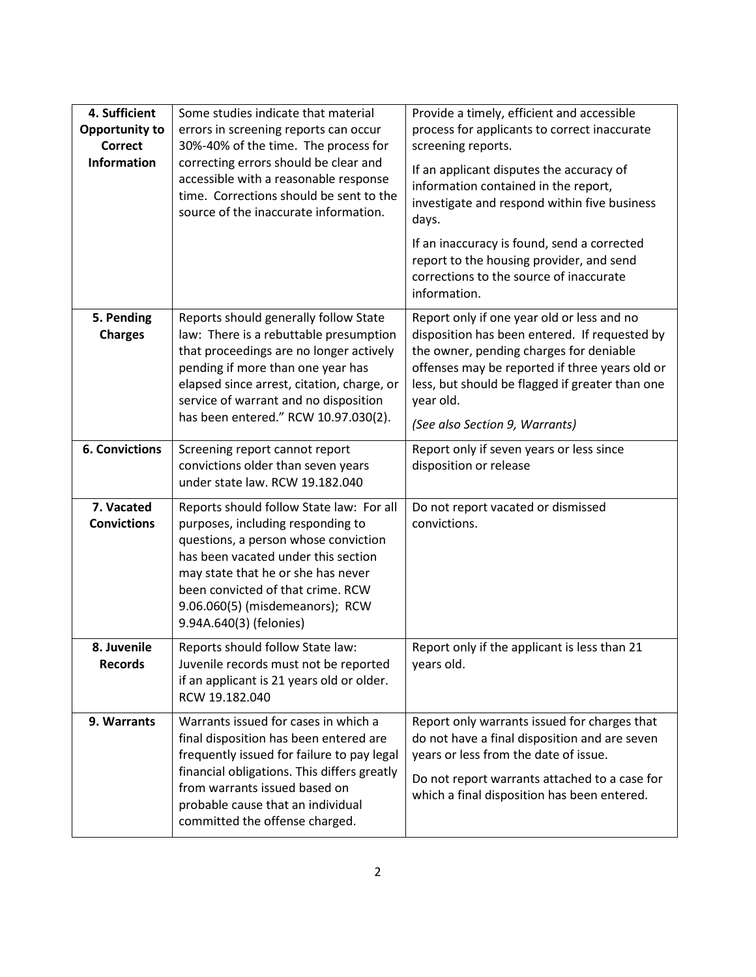| 4. Sufficient<br><b>Opportunity to</b><br><b>Correct</b><br><b>Information</b> | Some studies indicate that material<br>errors in screening reports can occur<br>30%-40% of the time. The process for<br>correcting errors should be clear and<br>accessible with a reasonable response<br>time. Corrections should be sent to the<br>source of the inaccurate information.            | Provide a timely, efficient and accessible<br>process for applicants to correct inaccurate<br>screening reports.<br>If an applicant disputes the accuracy of<br>information contained in the report,<br>investigate and respond within five business<br>days.<br>If an inaccuracy is found, send a corrected<br>report to the housing provider, and send<br>corrections to the source of inaccurate<br>information. |
|--------------------------------------------------------------------------------|-------------------------------------------------------------------------------------------------------------------------------------------------------------------------------------------------------------------------------------------------------------------------------------------------------|---------------------------------------------------------------------------------------------------------------------------------------------------------------------------------------------------------------------------------------------------------------------------------------------------------------------------------------------------------------------------------------------------------------------|
| 5. Pending<br><b>Charges</b>                                                   | Reports should generally follow State<br>law: There is a rebuttable presumption<br>that proceedings are no longer actively<br>pending if more than one year has<br>elapsed since arrest, citation, charge, or<br>service of warrant and no disposition<br>has been entered." RCW 10.97.030(2).        | Report only if one year old or less and no<br>disposition has been entered. If requested by<br>the owner, pending charges for deniable<br>offenses may be reported if three years old or<br>less, but should be flagged if greater than one<br>year old.<br>(See also Section 9, Warrants)                                                                                                                          |
| <b>6. Convictions</b>                                                          | Screening report cannot report<br>convictions older than seven years<br>under state law. RCW 19.182.040                                                                                                                                                                                               | Report only if seven years or less since<br>disposition or release                                                                                                                                                                                                                                                                                                                                                  |
| 7. Vacated<br><b>Convictions</b>                                               | Reports should follow State law: For all<br>purposes, including responding to<br>questions, a person whose conviction<br>has been vacated under this section<br>may state that he or she has never<br>been convicted of that crime. RCW<br>9.06.060(5) (misdemeanors); RCW<br>9.94A.640(3) (felonies) | Do not report vacated or dismissed<br>convictions.                                                                                                                                                                                                                                                                                                                                                                  |
| 8. Juvenile<br><b>Records</b>                                                  | Reports should follow State law:<br>Juvenile records must not be reported<br>if an applicant is 21 years old or older.<br>RCW 19.182.040                                                                                                                                                              | Report only if the applicant is less than 21<br>years old.                                                                                                                                                                                                                                                                                                                                                          |
| 9. Warrants                                                                    | Warrants issued for cases in which a<br>final disposition has been entered are<br>frequently issued for failure to pay legal<br>financial obligations. This differs greatly<br>from warrants issued based on<br>probable cause that an individual<br>committed the offense charged.                   | Report only warrants issued for charges that<br>do not have a final disposition and are seven<br>years or less from the date of issue.<br>Do not report warrants attached to a case for<br>which a final disposition has been entered.                                                                                                                                                                              |